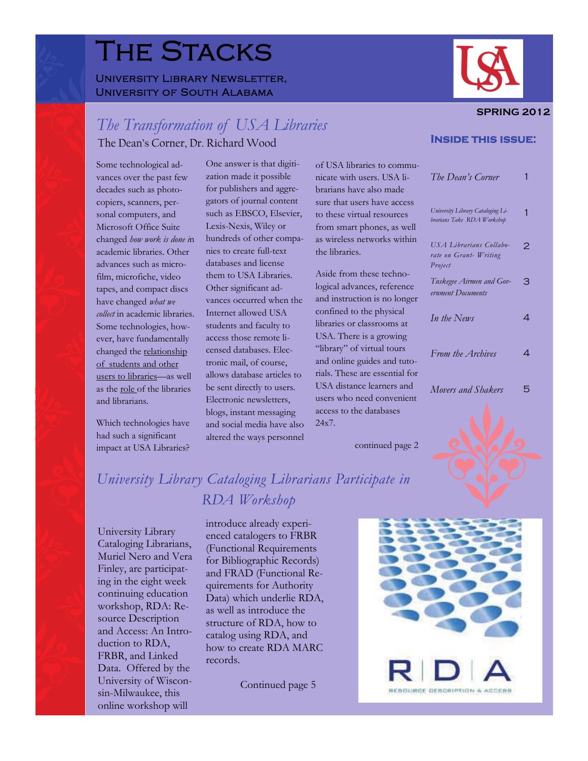# The Stacks

### UNIVERSITY LIBRARY NEWSLETTER, University of South Alabama



#### **SPRING 2012**

## *The Transformation of USA Libraries*  **Inside this issue:** The Dean's Corner, Dr. Richard Wood

had such a significant altered the ways personnel continued page 2 impact at USA Libraries?

Some technological ad-<br>One answer is that digiti- of USA libraries to commuvances over the past few zation made it possible nicate with users. USA lidecades such as photo- for publishers and aggre- brarians have also made copiers, scanners, per- gators of journal content sure that users have access Microsoft Office Suite Lexis-Nexis, Wiley or from smart phones, as well changed *how work is done i*n hundreds of other compa- as wireless networks within *USA Librarians Collabo-* 2 academic libraries. Other nies to create full-text the libraries. *rate on Grant- Writing* advances such as micro-<br>
databases and license<br> *Property definition* is a property *Property and Property Aside from these techno*them to USA Libraries. Aside from these techno-<br>tapes, and compact discs Other significant ad-<br>logical advances, reference vances occurred when the and instruction is no long<br>Internet allowed USA confined to the physical *collect* in academic libraries. Internet allowed USA confined to the physical Some technologies, how-<br>
students and faculty to libraries or classrooms at Some technologies, how-<br>
students and faculty to libraries or classrooms at<br>
ever have fundamentally access those remote li-<br>
USA. There is a growing ever, have fundamentally access those remote li-<br>
changed the relationship censed databases. Elec- "library" of virtual tours users to libraries—as well allows database articles to rials. These are essential for users to libraries—as well and the sent directly to users USA distance learners and blogs, instant messaging access to the databases Which technologies have and social media have also 24x7.

| Some technological ad-              | One answer is that digiti-  | of USA libraries to commu-     |                                                                 |                            |
|-------------------------------------|-----------------------------|--------------------------------|-----------------------------------------------------------------|----------------------------|
| vances over the past few            | zation made it possible     | nicate with users. USA li-     | The Dean's Corner                                               |                            |
| decades such as photo-              | for publishers and aggre-   | brarians have also made        |                                                                 |                            |
| copiers, scanners, per-             | gators of journal content   | sure that users have access    |                                                                 |                            |
| sonal computers, and                | such as EBSCO, Elsevier,    | to these virtual resources     | University Library Cataloging Li-<br>brarians Take RDA Workshop | 1                          |
| Microsoft Office Suite              | Lexis-Nexis, Wiley or       | from smart phones, as well     |                                                                 |                            |
| changed how work is done in         | hundreds of other compa-    | as wireless networks within    | USA Librarians Collabo-<br>rate on Grant- Writing               | 2                          |
| academic libraries. Other           | nies to create full-text    | the libraries.                 |                                                                 |                            |
| advances such as micro-             | databases and license       |                                | Project                                                         |                            |
| film, microfiche, video             | them to USA Libraries.      | Aside from these techno-       | Tuskegee Airmen and Gov-<br>ernment Documents                   | $\beta$                    |
| tapes, and compact discs            | Other significant ad-       | logical advances, reference    |                                                                 |                            |
| have changed <i>what we</i>         | vances occurred when the    | and instruction is no longer   |                                                                 |                            |
| collect in academic libraries.      | Internet allowed USA        | confined to the physical       | In the News                                                     | 4                          |
| Some technologies, how-             | students and faculty to     | libraries or classrooms at     |                                                                 |                            |
| ever, have fundamentally            | access those remote li-     | USA. There is a growing        |                                                                 |                            |
| changed the relationship            | censed databases. Elec-     | "library" of virtual tours     | From the Archives                                               | $\boldsymbol{\mathcal{A}}$ |
| of students and other               | tronic mail, of course,     | and online guides and tuto-    |                                                                 |                            |
| users to libraries-as well          | allows database articles to | rials. These are essential for |                                                                 |                            |
| as the <u>role of</u> the libraries | be sent directly to users.  | USA distance learners and      | Movers and Shakers                                              | 5                          |
| and librarians.                     | Electronic newsletters,     | users who need convenient      |                                                                 |                            |
|                                     | blogs, instant messaging    | access to the databases        |                                                                 |                            |
| Which technologies have             | and social media have also  | 24x7.                          |                                                                 |                            |

## *University Library Cataloging Librarians Participate in RDA Workshop*

FRBR, and Linked records. Data. Offered by the University of Wiscon-<br>
Sin-Milwaukee, this<br>
Continued page 5 online workshop will

University Library<br>
Cataloging Librarians,<br>
Cataloging Librarians,<br>
Muriel Nero and Vera<br>
Finley, are participation<br>
Finley, are participation<br>
Finley, are participation<br>
ontinuing education<br>
continuing education<br>
Data) wh workshop, RDA: Re-<br>source Description structure of RDA, how to<br>and Access: An Intro-<br>duction to RDA, how to create RDA MARC

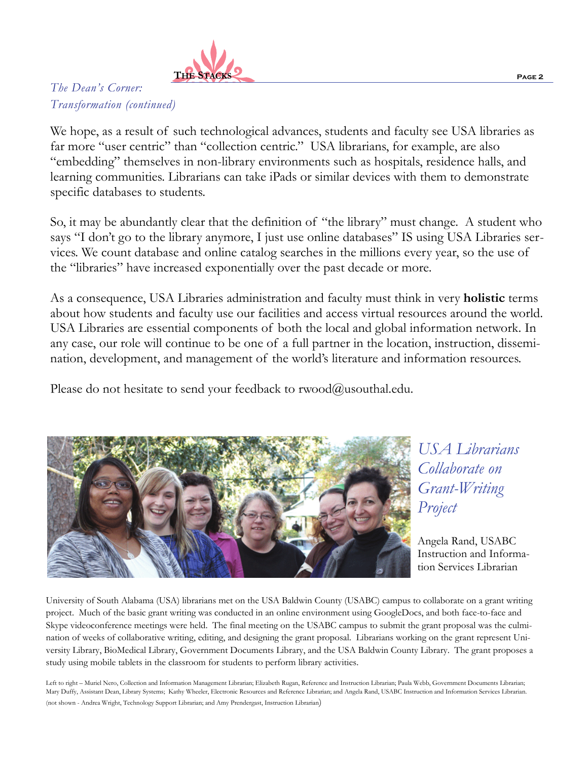

## *The Dean's Corner: Transformation (continued)*

We hope, as a result of such technological advances, students and faculty see USA libraries as far more "user centric" than "collection centric." USA librarians, for example, are also "embedding" themselves in non-library environments such as hospitals, residence halls, and learning communities. Librarians can take iPads or similar devices with them to demonstrate specific databases to students.

So, it may be abundantly clear that the definition of "the library" must change. A student who says "I don't go to the library anymore, I just use online databases" IS using USA Libraries services. We count database and online catalog searches in the millions every year, so the use of the "libraries" have increased exponentially over the past decade or more.

 nation, development, and management of the world's literature and information resources. Please do not hesitate to send your feedback to rwood@usouthal.edu. As a consequence, USA Libraries administration and faculty must think in very **holistic** terms about how students and faculty use our facilities and access virtual resources around the world. USA Libraries are essential components of both the local and global information network. In any case, our role will continue to be one of a full partner in the location, instruction, dissemi-



## *USA Librarians Collaborate on Grant-Writing Project*

Angela Rand, USABC Instruction and Information Services Librarian

University of South Alabama (USA) librarians met on the USA Baldwin County (USABC) campus to collaborate on a grant writing project. Much of the basic grant writing was conducted in an online environment using GoogleDocs, and both face-to-face and Skype videoconference meetings were held. The final meeting on the USABC campus to submit the grant proposal was the culmination of weeks of collaborative writing, editing, and designing the grant proposal. Librarians working on the grant represent University Library, BioMedical Library, Government Documents Library, and the USA Baldwin County Library. The grant proposes a study using mobile tablets in the classroom for students to perform library activities.

Left to right – Muriel Nero, Collection and Information Management Librarian; Elizabeth Rugan, Reference and Instruction Librarian; Paula Webb, Government Documents Librarian; Mary Duffy, Assistant Dean, Library Systems; Kathy Wheeler, Electronic Resources and Reference Librarian; and Angela Rand, USABC Instruction and Information Services Librarian. (not shown - Andrea Wright, Technology Support Librarian; and Amy Prendergast, Instruction Librarian)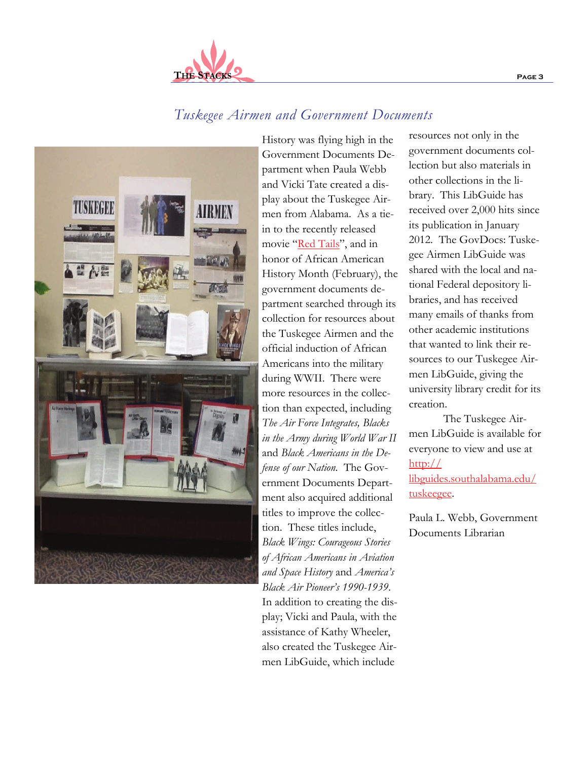resources not only in the government documents collection but also materials in other collections in the li-

brary. This LibGuide has received over 2,000 hits since its publication in January 2012. The GovDocs: Tuskegee Airmen LibGuide was shared with the local and national Federal depository libraries, and has received many emails of thanks from other academic institutions that wanted to link their resources to our Tuskegee Airmen LibGuide, giving the university library credit for its creation.

The Tuskegee Airmen LibGuide is available for everyone to view and use at [http://](http://libguides.southalabama.edu/tuskeegee) [libguides.southalabama.edu/](http://libguides.southalabama.edu/tuskeegee) [tuskeegee.](http://libguides.southalabama.edu/tuskeegee)

Paula L. Webb, Government Documents Librarian

*Tuskegee Airmen and Government Documents* 

play; Vicki and Paula, with the assistance of Kathy Wheeler, also created the Tuskegee Airmen LibGuide, which include



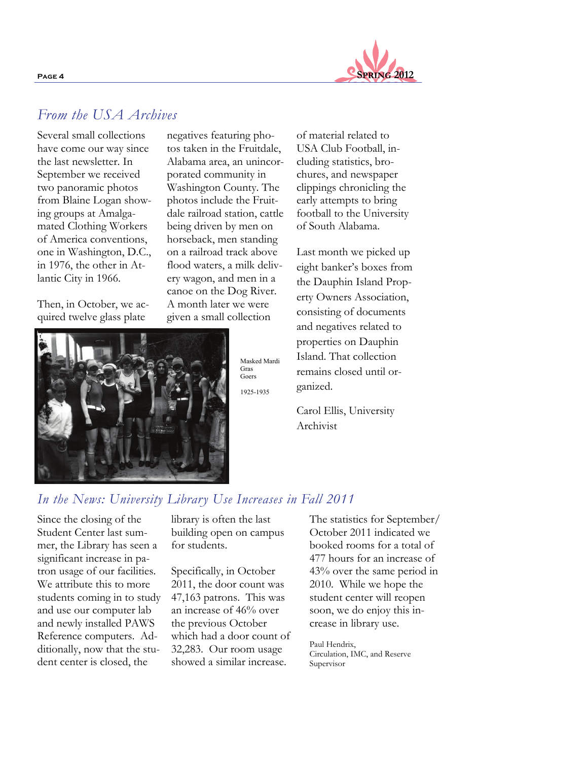

## *From the USA Archives*

Several small collections have come our way since the last newsletter. In September we received two panoramic photos from Blaine Logan showing groups at Amalgamated Clothing Workers of America conventions, one in Washington, D.C., in 1976, the other in Atlantic City in 1966.

Then, in October, we acquired twelve glass plate

negatives featuring photos taken in the Fruitdale, Alabama area, an unincorporated community in Washington County. The photos include the Fruitdale railroad station, cattle being driven by men on horseback, men standing on a railroad track above flood waters, a milk delivery wagon, and men in a canoe on the Dog River. A month later we were given a small collection



Gras Masked Mardi **Goers** 1925-1935

of material related to USA Club Football, including statistics, brochures, and newspaper clippings chronicling the early attempts to bring football to the University of South Alabama.

Last month we picked up eight banker's boxes from the Dauphin Island Property Owners Association, consisting of documents and negatives related to properties on Dauphin Island. That collection remains closed until organized.

Carol Ellis, University Archivist

## *In the News: University Library Use Increases in Fall 2011*

Since the closing of the Student Center last summer, the Library has seen a significant increase in patron usage of our facilities. We attribute this to more students coming in to study and use our computer lab and newly installed PAWS Reference computers. Additionally, now that the student center is closed, the

library is often the last building open on campus for students.

Specifically, in October 2011, the door count was 47,163 patrons. This was an increase of 46% over the previous October which had a door count of 32,283. Our room usage showed a similar increase.

The statistics for September/ October 2011 indicated we booked rooms for a total of 477 hours for an increase of 43% over the same period in 2010. While we hope the student center will reopen soon, we do enjoy this increase in library use.

Paul Hendrix, Circulation, IMC, and Reserve Supervisor